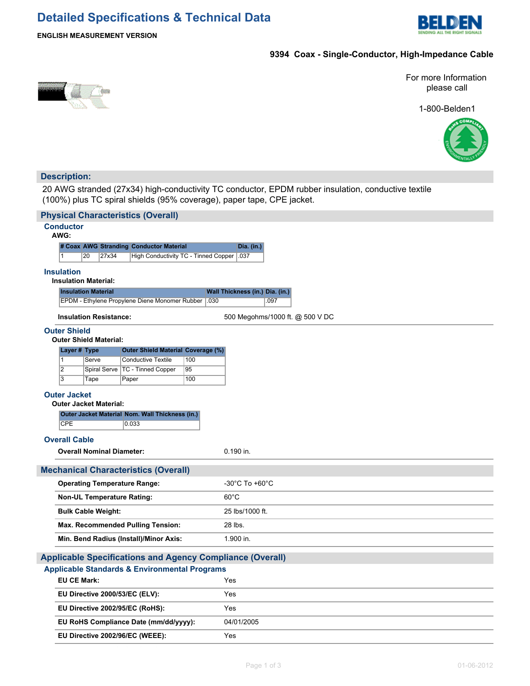# **Detailed Specifications & Technical Data**



### **ENGLISH MEASUREMENT VERSION**

# **9394 Coax - Single-Conductor, High-Impedance Cable**

For more Information please call

1-800-Belden1



## **Description:**

20 AWG stranded (27x34) high-conductivity TC conductor, EPDM rubber insulation, conductive textile (100%) plus TC spiral shields (95% coverage), paper tape, CPE jacket.

|                                                                  |                                         | <b>Physical Characteristics (Overall)</b>       |      |                                 |  |  |  |  |  |  |  |
|------------------------------------------------------------------|-----------------------------------------|-------------------------------------------------|------|---------------------------------|--|--|--|--|--|--|--|
|                                                                  | <b>Conductor</b><br>AWG:                |                                                 |      |                                 |  |  |  |  |  |  |  |
|                                                                  |                                         | # Coax AWG Stranding Conductor Material         |      | Dia. (in.)                      |  |  |  |  |  |  |  |
|                                                                  | 20<br>$\mathbf{1}$                      | 27x34<br>High Conductivity TC - Tinned Copper   |      | $\vert .037$                    |  |  |  |  |  |  |  |
|                                                                  | <b>Insulation</b>                       |                                                 |      |                                 |  |  |  |  |  |  |  |
|                                                                  | <b>Insulation Material:</b>             |                                                 |      |                                 |  |  |  |  |  |  |  |
|                                                                  | <b>Insulation Material</b>              |                                                 |      | Wall Thickness (in.) Dia. (in.) |  |  |  |  |  |  |  |
|                                                                  |                                         | EPDM - Ethylene Propylene Diene Monomer Rubber  | .030 | .097                            |  |  |  |  |  |  |  |
|                                                                  | <b>Insulation Resistance:</b>           |                                                 |      | 500 Megohms/1000 ft. @ 500 V DC |  |  |  |  |  |  |  |
| <b>Outer Shield</b>                                              |                                         |                                                 |      |                                 |  |  |  |  |  |  |  |
| <b>Outer Shield Material:</b>                                    |                                         |                                                 |      |                                 |  |  |  |  |  |  |  |
|                                                                  | Layer # Type                            | <b>Outer Shield Material Coverage (%)</b>       |      |                                 |  |  |  |  |  |  |  |
|                                                                  | $\mathbf{1}$<br>Serve<br>$\overline{2}$ | <b>Conductive Textile</b>                       | 100  |                                 |  |  |  |  |  |  |  |
|                                                                  | Spiral Serve<br>$\overline{3}$          | <b>TC - Tinned Copper</b>                       | 95   |                                 |  |  |  |  |  |  |  |
|                                                                  | Tape                                    | Paper                                           | 100  |                                 |  |  |  |  |  |  |  |
|                                                                  | <b>Outer Jacket</b>                     |                                                 |      |                                 |  |  |  |  |  |  |  |
|                                                                  | <b>Outer Jacket Material:</b>           |                                                 |      |                                 |  |  |  |  |  |  |  |
|                                                                  |                                         | Outer Jacket Material Nom. Wall Thickness (in.) |      |                                 |  |  |  |  |  |  |  |
|                                                                  | <b>CPE</b>                              | 0.033                                           |      |                                 |  |  |  |  |  |  |  |
|                                                                  | <b>Overall Cable</b>                    |                                                 |      |                                 |  |  |  |  |  |  |  |
|                                                                  | <b>Overall Nominal Diameter:</b>        |                                                 |      | 0.190 in.                       |  |  |  |  |  |  |  |
|                                                                  |                                         | <b>Mechanical Characteristics (Overall)</b>     |      |                                 |  |  |  |  |  |  |  |
|                                                                  | <b>Operating Temperature Range:</b>     |                                                 |      | -30°C To +60°C                  |  |  |  |  |  |  |  |
|                                                                  | <b>Non-UL Temperature Rating:</b>       |                                                 |      | $60^{\circ}$ C                  |  |  |  |  |  |  |  |
|                                                                  | <b>Bulk Cable Weight:</b>               |                                                 |      | 25 lbs/1000 ft.                 |  |  |  |  |  |  |  |
|                                                                  |                                         | <b>Max. Recommended Pulling Tension:</b>        |      | 28 lbs.                         |  |  |  |  |  |  |  |
|                                                                  |                                         | Min. Bend Radius (Install)/Minor Axis:          |      | 1.900 in.                       |  |  |  |  |  |  |  |
| <b>Applicable Specifications and Agency Compliance (Overall)</b> |                                         |                                                 |      |                                 |  |  |  |  |  |  |  |
| <b>Applicable Standards &amp; Environmental Programs</b>         |                                         |                                                 |      |                                 |  |  |  |  |  |  |  |
|                                                                  | <b>EU CE Mark:</b>                      |                                                 |      | Yes                             |  |  |  |  |  |  |  |
|                                                                  |                                         | EU Directive 2000/53/EC (ELV):                  |      | Yes                             |  |  |  |  |  |  |  |
|                                                                  | EU Directive 2002/95/EC (RoHS):         |                                                 |      | Yes                             |  |  |  |  |  |  |  |
|                                                                  | EU RoHS Compliance Date (mm/dd/yyyy):   |                                                 |      | 04/01/2005                      |  |  |  |  |  |  |  |
|                                                                  |                                         |                                                 |      |                                 |  |  |  |  |  |  |  |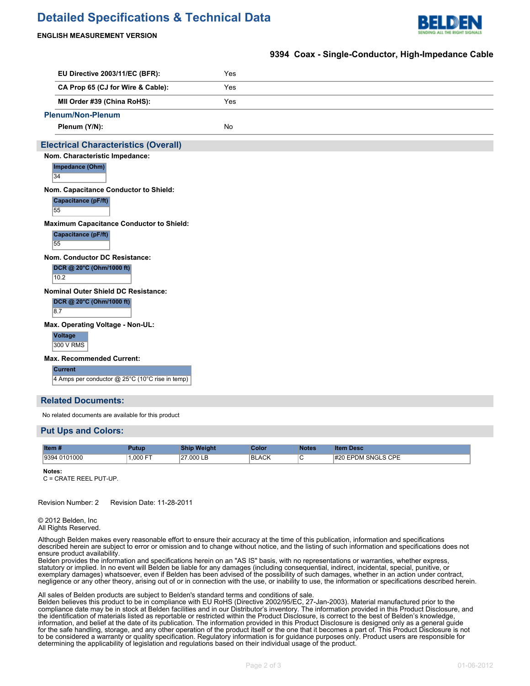# **Detailed Specifications & Technical Data**



#### **ENGLISH MEASUREMENT VERSION**

#### **9394 Coax - Single-Conductor, High-Impedance Cable**

| EU Directive 2003/11/EC (BFR):                                    | Yes       |  |  |  |  |  |
|-------------------------------------------------------------------|-----------|--|--|--|--|--|
| CA Prop 65 (CJ for Wire & Cable):                                 | Yes       |  |  |  |  |  |
| MII Order #39 (China RoHS):                                       | Yes       |  |  |  |  |  |
| <b>Plenum/Non-Plenum</b>                                          |           |  |  |  |  |  |
| Plenum (Y/N):                                                     | <b>No</b> |  |  |  |  |  |
| <b>Electrical Characteristics (Overall)</b>                       |           |  |  |  |  |  |
| Nom. Characteristic Impedance:                                    |           |  |  |  |  |  |
| Impedance (Ohm)<br>34                                             |           |  |  |  |  |  |
| Nom. Capacitance Conductor to Shield:                             |           |  |  |  |  |  |
| <b>Capacitance (pF/ft)</b><br>55                                  |           |  |  |  |  |  |
| <b>Maximum Capacitance Conductor to Shield:</b>                   |           |  |  |  |  |  |
| <b>Capacitance (pF/ft)</b><br>55                                  |           |  |  |  |  |  |
| Nom. Conductor DC Resistance:                                     |           |  |  |  |  |  |
| DCR @ 20°C (Ohm/1000 ft)<br>10.2                                  |           |  |  |  |  |  |
| Nominal Outer Shield DC Resistance:                               |           |  |  |  |  |  |
| DCR @ 20°C (Ohm/1000 ft)<br>8.7                                   |           |  |  |  |  |  |
| Max. Operating Voltage - Non-UL:                                  |           |  |  |  |  |  |
| Voltage<br>300 V RMS                                              |           |  |  |  |  |  |
| <b>Max. Recommended Current:</b>                                  |           |  |  |  |  |  |
| <b>Current</b><br>4 Amps per conductor @ 25°C (10°C rise in temp) |           |  |  |  |  |  |

#### **Related Documents:**

No related documents are available for this product

#### **Put Ups and Colors:**

| Item #          | <b>utup</b> | нат     | iolo:        | <b>Notes</b> | <b>Desc</b><br>lter               |
|-----------------|-------------|---------|--------------|--------------|-----------------------------------|
| 0101000<br>Q3QA | $.000$ FT   | 27.000L | <b>BLACK</b> | ັ            | SNGLS CPE<br>#20<br>$\sim$ $\sim$ |

**Notes:**

C = CRATE REEL PUT-UP.

Revision Number: 2 Revision Date: 11-28-2011

© 2012 Belden, Inc All Rights Reserved.

Although Belden makes every reasonable effort to ensure their accuracy at the time of this publication, information and specifications described herein are subject to error or omission and to change without notice, and the listing of such information and specifications does not ensure product availability.

Belden provides the information and specifications herein on an "AS IS" basis, with no representations or warranties, whether express, statutory or implied. In no event will Belden be liable for any damages (including consequential, indirect, incidental, special, punitive, or exemplary damages) whatsoever, even if Belden has been advised of the possibility of such damages, whether in an action under contract, negligence or any other theory, arising out of or in connection with the use, or inability to use, the information or specifications described herein.

#### All sales of Belden products are subject to Belden's standard terms and conditions of sale.

Belden believes this product to be in compliance with EU RoHS (Directive 2002/95/EC, 27-Jan-2003). Material manufactured prior to the compliance date may be in stock at Belden facilities and in our Distributor's inventory. The information provided in this Product Disclosure, and the identification of materials listed as reportable or restricted within the Product Disclosure, is correct to the best of Belden's knowledge, information, and belief at the date of its publication. The information provided in this Product Disclosure is designed only as a general guide for the safe handling, storage, and any other operation of the product itself or the one that it becomes a part of. This Product Disclosure is not to be considered a warranty or quality specification. Regulatory information is for guidance purposes only. Product users are responsible for determining the applicability of legislation and regulations based on their individual usage of the product. Belden declares this product to be in compliance with EU LVD (Low Voltage Directive 73/23/EEC), as amended by directive 93/68/EEC.